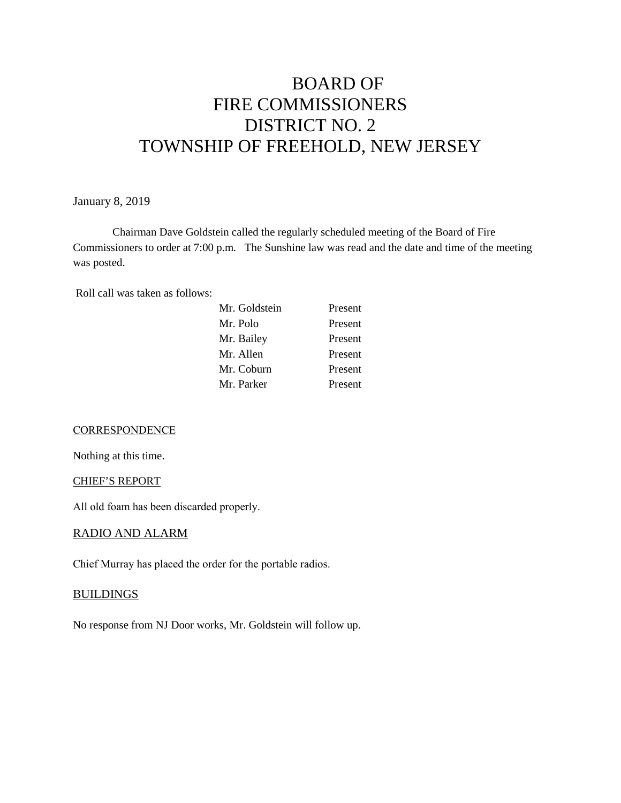# BOARD OF FIRE COMMISSIONERS DISTRICT NO. 2 TOWNSHIP OF FREEHOLD, NEW JERSEY

January 8, 2019

Chairman Dave Goldstein called the regularly scheduled meeting of the Board of Fire Commissioners to order at 7:00 p.m. The Sunshine law was read and the date and time of the meeting was posted.

Roll call was taken as follows:

#### **CORRESPONDENCE**

Nothing at this time.

CHIEF'S REPORT

All old foam has been discarded properly.

#### RADIO AND ALARM

Chief Murray has placed the order for the portable radios.

#### **BUILDINGS**

No response from NJ Door works, Mr. Goldstein will follow up.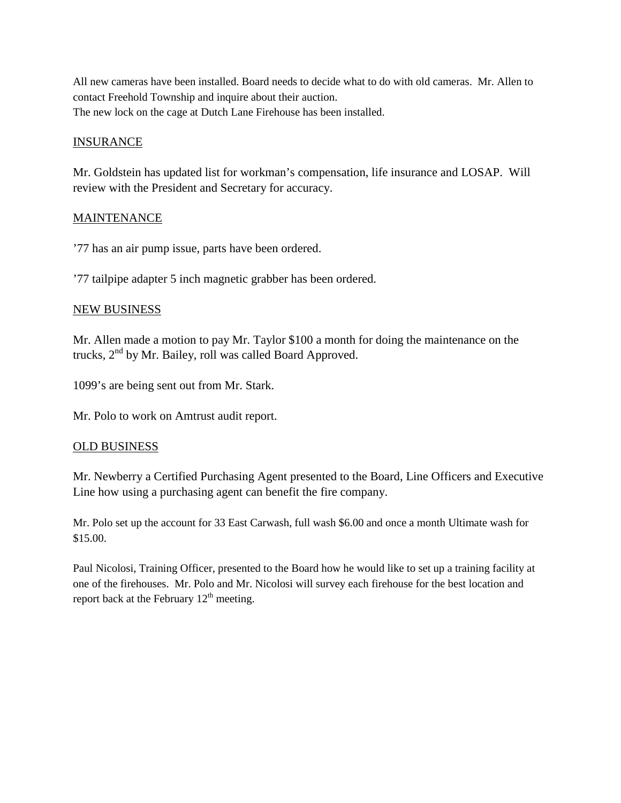All new cameras have been installed. Board needs to decide what to do with old cameras. Mr. Allen to contact Freehold Township and inquire about their auction. The new lock on the cage at Dutch Lane Firehouse has been installed.

## **INSURANCE**

Mr. Goldstein has updated list for workman's compensation, life insurance and LOSAP. Will review with the President and Secretary for accuracy.

## **MAINTENANCE**

'77 has an air pump issue, parts have been ordered.

'77 tailpipe adapter 5 inch magnetic grabber has been ordered.

## NEW BUSINESS

Mr. Allen made a motion to pay Mr. Taylor \$100 a month for doing the maintenance on the trucks, 2nd by Mr. Bailey, roll was called Board Approved.

1099's are being sent out from Mr. Stark.

Mr. Polo to work on Amtrust audit report.

### OLD BUSINESS

Mr. Newberry a Certified Purchasing Agent presented to the Board, Line Officers and Executive Line how using a purchasing agent can benefit the fire company.

Mr. Polo set up the account for 33 East Carwash, full wash \$6.00 and once a month Ultimate wash for \$15.00.

Paul Nicolosi, Training Officer, presented to the Board how he would like to set up a training facility at one of the firehouses. Mr. Polo and Mr. Nicolosi will survey each firehouse for the best location and report back at the February  $12<sup>th</sup>$  meeting.